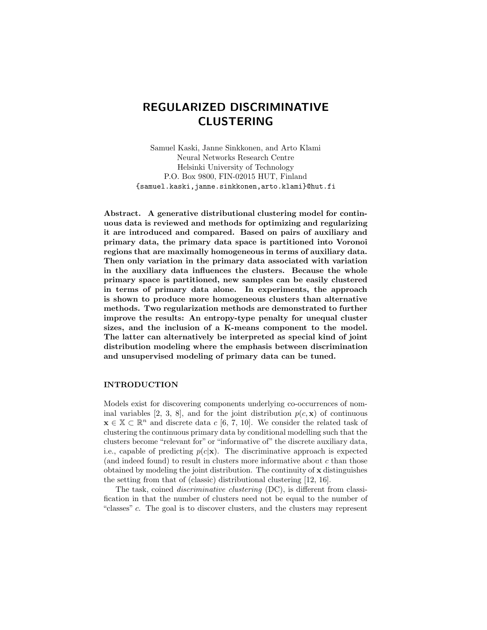# REGULARIZED DISCRIMINATIVE CLUSTERING

Samuel Kaski, Janne Sinkkonen, and Arto Klami Neural Networks Research Centre Helsinki University of Technology P.O. Box 9800, FIN-02015 HUT, Finland {samuel.kaski,janne.sinkkonen,arto.klami}@hut.fi

Abstract. A generative distributional clustering model for continuous data is reviewed and methods for optimizing and regularizing it are introduced and compared. Based on pairs of auxiliary and primary data, the primary data space is partitioned into Voronoi regions that are maximally homogeneous in terms of auxiliary data. Then only variation in the primary data associated with variation in the auxiliary data influences the clusters. Because the whole primary space is partitioned, new samples can be easily clustered in terms of primary data alone. In experiments, the approach is shown to produce more homogeneous clusters than alternative methods. Two regularization methods are demonstrated to further improve the results: An entropy-type penalty for unequal cluster sizes, and the inclusion of a K-means component to the model. The latter can alternatively be interpreted as special kind of joint distribution modeling where the emphasis between discrimination and unsupervised modeling of primary data can be tuned.

# INTRODUCTION

Models exist for discovering components underlying co-occurrences of nominal variables [2, 3, 8], and for the joint distribution  $p(c, \mathbf{x})$  of continuous  $\mathbf{x} \in \mathbb{X} \subset \mathbb{R}^n$  and discrete data c [6, 7, 10]. We consider the related task of clustering the continuous primary data by conditional modelling such that the clusters become "relevant for" or "informative of" the discrete auxiliary data, i.e., capable of predicting  $p(c|\mathbf{x})$ . The discriminative approach is expected (and indeed found) to result in clusters more informative about  $c$  than those obtained by modeling the joint distribution. The continuity of  $x$  distinguishes the setting from that of (classic) distributional clustering [12, 16].

The task, coined discriminative clustering (DC), is different from classification in that the number of clusters need not be equal to the number of "classes" c. The goal is to discover clusters, and the clusters may represent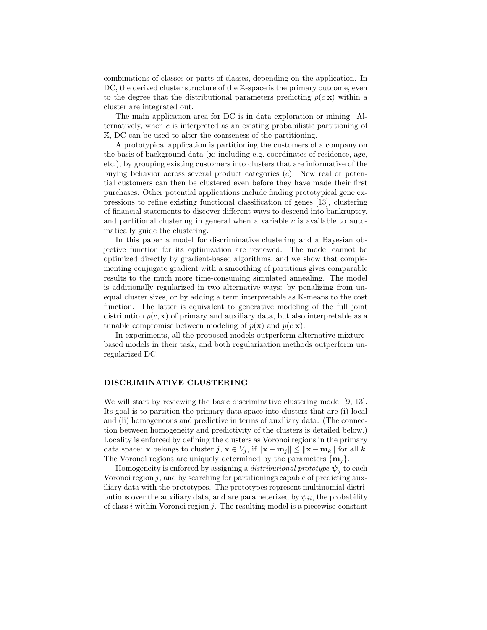combinations of classes or parts of classes, depending on the application. In DC, the derived cluster structure of the X-space is the primary outcome, even to the degree that the distributional parameters predicting  $p(c|\mathbf{x})$  within a cluster are integrated out.

The main application area for DC is in data exploration or mining. Alternatively, when  $c$  is interpreted as an existing probabilistic partitioning of X, DC can be used to alter the coarseness of the partitioning.

A prototypical application is partitioning the customers of a company on the basis of background data  $(x; \text{ including } e.g.$  coordinates of residence, age, etc.), by grouping existing customers into clusters that are informative of the buying behavior across several product categories  $(c)$ . New real or potential customers can then be clustered even before they have made their first purchases. Other potential applications include finding prototypical gene expressions to refine existing functional classification of genes [13], clustering of financial statements to discover different ways to descend into bankruptcy, and partitional clustering in general when a variable  $c$  is available to automatically guide the clustering.

In this paper a model for discriminative clustering and a Bayesian objective function for its optimization are reviewed. The model cannot be optimized directly by gradient-based algorithms, and we show that complementing conjugate gradient with a smoothing of partitions gives comparable results to the much more time-consuming simulated annealing. The model is additionally regularized in two alternative ways: by penalizing from unequal cluster sizes, or by adding a term interpretable as K-means to the cost function. The latter is equivalent to generative modeling of the full joint distribution  $p(c, x)$  of primary and auxiliary data, but also interpretable as a tunable compromise between modeling of  $p(\mathbf{x})$  and  $p(c|\mathbf{x})$ .

In experiments, all the proposed models outperform alternative mixturebased models in their task, and both regularization methods outperform unregularized DC.

## DISCRIMINATIVE CLUSTERING

We will start by reviewing the basic discriminative clustering model [9, 13]. Its goal is to partition the primary data space into clusters that are (i) local and (ii) homogeneous and predictive in terms of auxiliary data. (The connection between homogeneity and predictivity of the clusters is detailed below.) Locality is enforced by defining the clusters as Voronoi regions in the primary data space: **x** belongs to cluster  $j, \mathbf{x} \in V_j$ , if  $\|\mathbf{x} - \mathbf{m}_j\| \le \|\mathbf{x} - \mathbf{m}_k\|$  for all k. The Voronoi regions are uniquely determined by the parameters  $\{\mathbf{m}_j\}$ .

Homogeneity is enforced by assigning a *distributional prototype*  $\boldsymbol{\psi}_j$  to each Voronoi region  $j$ , and by searching for partitionings capable of predicting auxiliary data with the prototypes. The prototypes represent multinomial distributions over the auxiliary data, and are parameterized by  $\psi_{ii}$ , the probability of class i within Voronoi region  $j$ . The resulting model is a piecewise-constant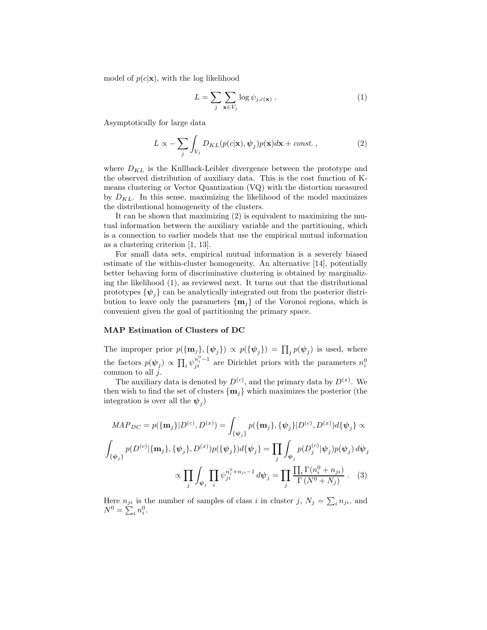model of  $p(c|\mathbf{x})$ , with the log likelihood

$$
L = \sum_{j} \sum_{\mathbf{x} \in V_j} \log \psi_{j,c(\mathbf{x})} . \tag{1}
$$

Asymptotically for large data

$$
L \propto -\sum_{j} \int_{V_j} D_{KL}(p(c|\mathbf{x}), \psi_j)p(\mathbf{x})d\mathbf{x} + const. ,
$$
 (2)

where  $D_{KL}$  is the Kullback-Leibler divergence between the prototype and the observed distribution of auxiliary data. This is the cost function of Kmeans clustering or Vector Quantization (VQ) with the distortion measured by  $D_{KL}$ . In this sense, maximizing the likelihood of the model maximizes the distributional homogeneity of the clusters.

It can be shown that maximizing (2) is equivalent to maximizing the mutual information between the auxiliary variable and the partitioning, which is a connection to earlier models that use the empirical mutual information as a clustering criterion [1, 13].

For small data sets, empirical mutual information is a severely biased estimate of the within-cluster homogeneity. An alternative [14], potentially better behaving form of discriminative clustering is obtained by marginalizing the likelihood (1), as reviewed next. It turns out that the distributional prototypes  $\{\psi_j\}$  can be analytically integrated out from the posterior distribution to leave only the parameters  $\{m_i\}$  of the Voronoi regions, which is convenient given the goal of partitioning the primary space.

#### MAP Estimation of Clusters of DC

The improper prior  $p(\{\mathbf{m}_j\}, \{\psi_j\}) \propto p(\{\psi_j\}) = \prod_j p(\psi_j)$  is used, where the factors  $p(\psi_j) \propto \prod_i \psi_{ji}^{n_i^0 - 1}$  are Dirichlet priors with the parameters  $n_i^0$ common to all  $\check{j}$ .

The auxiliary data is denoted by  $D^{(c)}$ , and the primary data by  $D^{(x)}$ . We then wish to find the set of clusters  $\{m_i\}$  which maximizes the posterior (the integration is over all the  $\psi_j$ )

$$
MAP_{DC} = p(\{\mathbf{m}_j\}|D^{(c)}, D^{(x)}) = \int_{\{\psi_j\}} p(\{\mathbf{m}_j\}, \{\psi_j\}|D^{(c)}, D^{(x)})d\{\psi_j\} \propto
$$

$$
\int_{\{\psi_j\}} p(D^{(c)}|\{\mathbf{m}_j\}, \{\psi_j\}, D^{(x)})p(\{\psi_j\})d\{\psi_j\} = \prod_j \int_{\psi_j} p(D_j^{(c)}|\psi_j)p(\psi_j) d\psi_j
$$

$$
\propto \prod_j \int_{\psi_j} \prod_i \psi_{ji}^{n_i^0 + n_{ji} - 1} d\psi_j = \prod_j \frac{\prod_i \Gamma(n_i^0 + n_{ji})}{\Gamma(N^0 + N_j)}.
$$
(3)

Here  $n_{ji}$  is the number of samples of class i in cluster j,  $N_j = \sum_i n_{ji}$ , and  $N^0 = \sum_i n_i^0$ .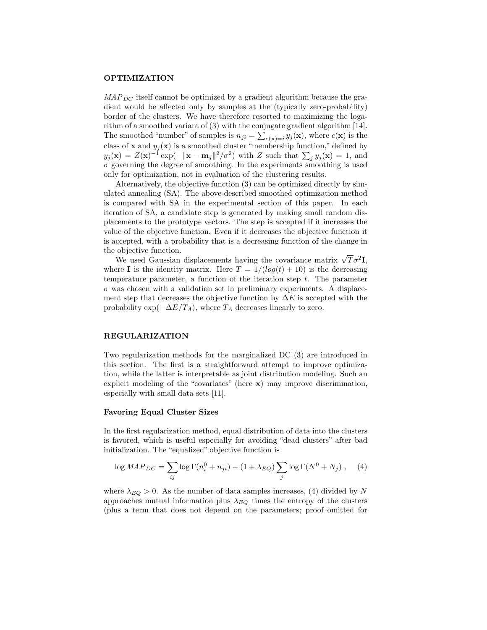## OPTIMIZATION

 $MAP_{DC}$  itself cannot be optimized by a gradient algorithm because the gradient would be affected only by samples at the (typically zero-probability) border of the clusters. We have therefore resorted to maximizing the logarithm of a smoothed variant of (3) with the conjugate gradient algorithm [14]. The smoothed "number" of samples is  $n_{ji} = \sum_{c(\mathbf{x})=i} y_j(\mathbf{x})$ , where  $c(\mathbf{x})$  is the class of **x** and  $y_j(\mathbf{x})$  is a smoothed cluster "membership function," defined by  $y_j(\mathbf{x}) = Z(\mathbf{x})^{-1} \exp(-\|\mathbf{x} - \mathbf{m}_j\|^2 / \sigma^2)$  with Z such that  $\sum_j y_j(\mathbf{x}) = 1$ , and  $\sigma$  governing the degree of smoothing. In the experiments smoothing is used only for optimization, not in evaluation of the clustering results.

Alternatively, the objective function (3) can be optimized directly by simulated annealing (SA). The above-described smoothed optimization method is compared with SA in the experimental section of this paper. In each iteration of SA, a candidate step is generated by making small random displacements to the prototype vectors. The step is accepted if it increases the value of the objective function. Even if it decreases the objective function it is accepted, with a probability that is a decreasing function of the change in the objective function.

We used Gaussian displacements having the covariance matrix  $\sqrt{T}\sigma^2 I$ , where I is the identity matrix. Here  $T = 1/(log(t) + 10)$  is the decreasing temperature parameter, a function of the iteration step  $t$ . The parameter  $\sigma$  was chosen with a validation set in preliminary experiments. A displacement step that decreases the objective function by  $\Delta E$  is accepted with the probability  $\exp(-\Delta E/T_A)$ , where  $T_A$  decreases linearly to zero.

# REGULARIZATION

Two regularization methods for the marginalized DC (3) are introduced in this section. The first is a straightforward attempt to improve optimization, while the latter is interpretable as joint distribution modeling. Such an explicit modeling of the "covariates" (here  $\mathbf{x}$ ) may improve discrimination, especially with small data sets [11].

## Favoring Equal Cluster Sizes

In the first regularization method, equal distribution of data into the clusters is favored, which is useful especially for avoiding "dead clusters" after bad initialization. The "equalized" objective function is

$$
\log MAP_{DC} = \sum_{ij} \log \Gamma(n_i^0 + n_{ji}) - (1 + \lambda_{EQ}) \sum_j \log \Gamma(N^0 + N_j) , \quad (4)
$$

where  $\lambda_{EQ} > 0$ . As the number of data samples increases, (4) divided by N approaches mutual information plus  $\lambda_{EQ}$  times the entropy of the clusters (plus a term that does not depend on the parameters; proof omitted for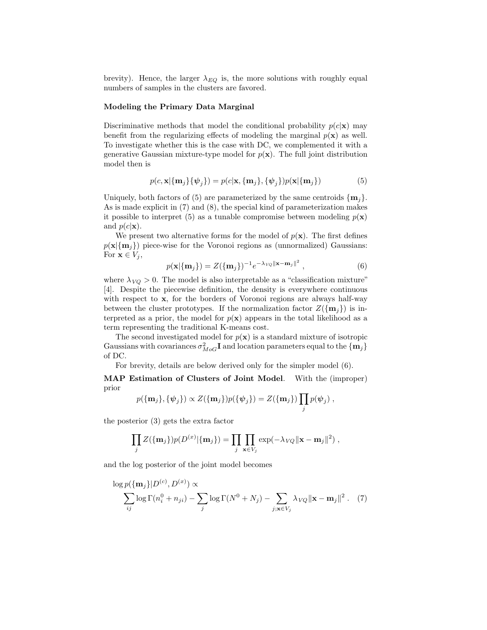brevity). Hence, the larger  $\lambda_{EQ}$  is, the more solutions with roughly equal numbers of samples in the clusters are favored.

#### Modeling the Primary Data Marginal

Discriminative methods that model the conditional probability  $p(c|\mathbf{x})$  may benefit from the regularizing effects of modeling the marginal  $p(x)$  as well. To investigate whether this is the case with DC, we complemented it with a generative Gaussian mixture-type model for  $p(x)$ . The full joint distribution model then is

$$
p(c, \mathbf{x}|\{\mathbf{m}_j\} \{\psi_j\}) = p(c|\mathbf{x}, \{\mathbf{m}_j\}, \{\psi_j\}) p(\mathbf{x}|\{\mathbf{m}_j\})
$$
(5)

Uniquely, both factors of (5) are parameterized by the same centroids  $\{\mathbf{m}_i\}$ . As is made explicit in (7) and (8), the special kind of parameterization makes it possible to interpret (5) as a tunable compromise between modeling  $p(\mathbf{x})$ and  $p(c|\mathbf{x})$ .

We present two alternative forms for the model of  $p(\mathbf{x})$ . The first defines  $p(\mathbf{x}|\{\mathbf{m}_i\})$  piece-wise for the Voronoi regions as (unnormalized) Gaussians: For  $\mathbf{x} \in V_i$ ,

$$
p(\mathbf{x}|\{\mathbf{m}_j\}) = Z(\{\mathbf{m}_j\})^{-1} e^{-\lambda_{VQ} ||\mathbf{x} - \mathbf{m}_j||^2}, \qquad (6)
$$

where  $\lambda_{VQ} > 0$ . The model is also interpretable as a "classification mixture" [4]. Despite the piecewise definition, the density is everywhere continuous with respect to x, for the borders of Voronoi regions are always half-way between the cluster prototypes. If the normalization factor  $Z(\{m_i\})$  is interpreted as a prior, the model for  $p(x)$  appears in the total likelihood as a term representing the traditional K-means cost.

The second investigated model for  $p(\mathbf{x})$  is a standard mixture of isotropic Gaussians with covariances  $\sigma_{MoG}^2$ **I** and location parameters equal to the  $\{m_j\}$ of DC.

For brevity, details are below derived only for the simpler model (6).

MAP Estimation of Clusters of Joint Model. With the (improper) prior

$$
p(\{\mathbf{m}_j\}, \{\boldsymbol{\psi}_j\}) \propto Z(\{\mathbf{m}_j\}) p(\{\boldsymbol{\psi}_j\}) = Z(\{\mathbf{m}_j\}) \prod_j p(\boldsymbol{\psi}_j) ,
$$

the posterior (3) gets the extra factor

$$
\prod_j Z(\{\mathbf{m}_j\}) p(D^{(x)}|\{\mathbf{m}_j\}) = \prod_j \prod_{\mathbf{x} \in V_j} \exp(-\lambda_{VQ} \|\mathbf{x} - \mathbf{m}_j\|^2) ,
$$

and the log posterior of the joint model becomes

$$
\log p(\{\mathbf{m}_j\}|D^{(c)}, D^{(x)}) \propto \sum_{ij} \log \Gamma(n_i^0 + n_{ji}) - \sum_j \log \Gamma(N^0 + N_j) - \sum_{j; \mathbf{x} \in V_j} \lambda_{VQ} ||\mathbf{x} - \mathbf{m}_j||^2. \tag{7}
$$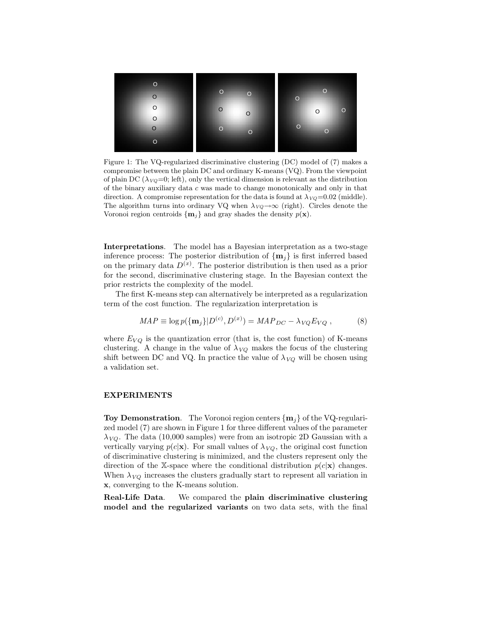

Figure 1: The VQ-regularized discriminative clustering (DC) model of (7) makes a compromise between the plain DC and ordinary K-means (VQ). From the viewpoint of plain DC ( $\lambda_{VQ}=0$ ; left), only the vertical dimension is relevant as the distribution of the binary auxiliary data c was made to change monotonically and only in that direction. A compromise representation for the data is found at  $\lambda_{VQ} = 0.02$  (middle). The algorithm turns into ordinary VQ when  $\lambda_{VQ} \rightarrow \infty$  (right). Circles denote the Voronoi region centroids  $\{m_i\}$  and gray shades the density  $p(x)$ .

Interpretations. The model has a Bayesian interpretation as a two-stage inference process: The posterior distribution of  $\{\mathbf{m}_j\}$  is first inferred based on the primary data  $D^{(x)}$ . The posterior distribution is then used as a prior for the second, discriminative clustering stage. In the Bayesian context the prior restricts the complexity of the model.

The first K-means step can alternatively be interpreted as a regularization term of the cost function. The regularization interpretation is

$$
MAP \equiv \log p(\{\mathbf{m}_j\}|D^{(c)}, D^{(x)}) = MAP_{DC} - \lambda_{VQ} E_{VQ} ,\qquad (8)
$$

where  $E_{VQ}$  is the quantization error (that is, the cost function) of K-means clustering. A change in the value of  $\lambda_{VQ}$  makes the focus of the clustering shift between DC and VQ. In practice the value of  $\lambda_{VQ}$  will be chosen using a validation set.

## EXPERIMENTS

**Toy Demonstration.** The Voronoi region centers  $\{m_i\}$  of the VQ-regularized model (7) are shown in Figure 1 for three different values of the parameter  $\lambda_{VQ}$ . The data (10,000 samples) were from an isotropic 2D Gaussian with a vertically varying  $p(c|\mathbf{x})$ . For small values of  $\lambda_{VQ}$ , the original cost function of discriminative clustering is minimized, and the clusters represent only the direction of the X-space where the conditional distribution  $p(c|\mathbf{x})$  changes. When  $\lambda_{VQ}$  increases the clusters gradually start to represent all variation in x, converging to the K-means solution.

Real-Life Data. We compared the plain discriminative clustering model and the regularized variants on two data sets, with the final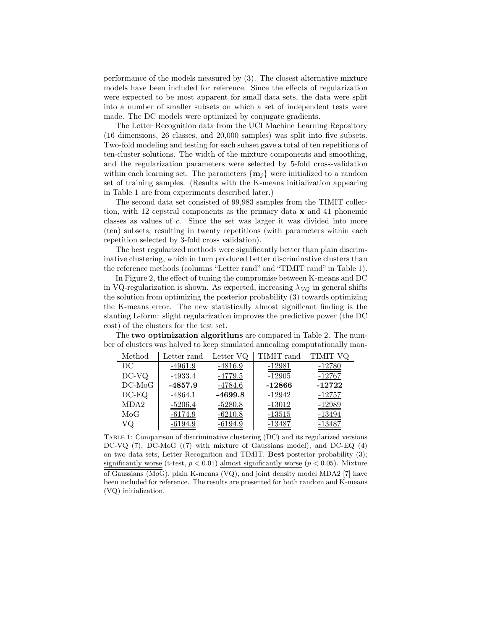performance of the models measured by (3). The closest alternative mixture models have been included for reference. Since the effects of regularization were expected to be most apparent for small data sets, the data were split into a number of smaller subsets on which a set of independent tests were made. The DC models were optimized by conjugate gradients.

The Letter Recognition data from the UCI Machine Learning Repository (16 dimensions, 26 classes, and 20,000 samples) was split into five subsets. Two-fold modeling and testing for each subset gave a total of ten repetitions of ten-cluster solutions. The width of the mixture components and smoothing, and the regularization parameters were selected by 5-fold cross-validation within each learning set. The parameters  $\{m_i\}$  were initialized to a random set of training samples. (Results with the K-means initialization appearing in Table 1 are from experiments described later.)

The second data set consisted of 99,983 samples from the TIMIT collection, with 12 cepstral components as the primary data  $x$  and 41 phonemic classes as values of c. Since the set was larger it was divided into more (ten) subsets, resulting in twenty repetitions (with parameters within each repetition selected by 3-fold cross validation).

The best regularized methods were significantly better than plain discriminative clustering, which in turn produced better discriminative clusters than the reference methods (columns "Letter rand" and "TIMIT rand" in Table 1).

In Figure 2, the effect of tuning the compromise between K-means and DC in VQ-regularization is shown. As expected, increasing  $\lambda_{VQ}$  in general shifts the solution from optimizing the posterior probability (3) towards optimizing the K-means error. The new statistically almost significant finding is the slanting L-form: slight regularization improves the predictive power (the DC cost) of the clusters for the test set.

The two optimization algorithms are compared in Table 2. The number of clusters was halved to keep simulated annealing computationally man-

| Method   | Letter rand | Letter VQ      | TIMIT rand | TIMIT VQ      |
|----------|-------------|----------------|------------|---------------|
| DС       | $-4961.9$   | $-4816.9$      | $-12981$   | $-12780$      |
| DC-VQ    | $-4933.4$   | <u>-4779.5</u> | $-12905$   | $-12767$      |
| $DC-MoG$ | $-4857.9$   | $-4784.6$      | $-12866$   | $-12722$      |
| $DC-EQ$  | $-4864.1$   | $-4699.8$      | $-12942$   | <u>-12757</u> |
| MDA2     | $-5206.4$   | $-5280.8$      | $-13012$   | $-12989$      |
| MoG      | $-6174.9$   | $-6210.8$      | $-13515$   | -13494        |
| VQ       | $-6194.9$   | -6194.9        | -13487     | -13487        |

Table 1: Comparison of discriminative clustering (DC) and its regularized versions DC-VQ (7), DC-MoG ((7) with mixture of Gaussians model), and DC-EQ (4) on two data sets, Letter Recognition and TIMIT. Best posterior probability (3); significantly worse (t-test,  $p < 0.01$ ) almost significantly worse ( $p < 0.05$ ). Mixture of Gaussians (MoG), plain K-means (VQ), and joint density model MDA2 [7] have been included for reference. The results are presented for both random and K-means (VQ) initialization.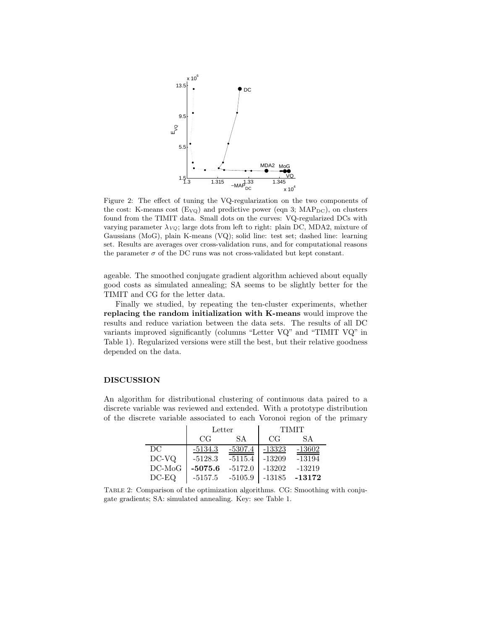

Figure 2: The effect of tuning the VQ-regularization on the two components of the cost: K-means cost  $(E_{VQ})$  and predictive power (eqn 3;  $MAP_{DC}$ ), on clusters found from the TIMIT data. Small dots on the curves: VQ-regularized DCs with varying parameter  $\lambda_{VQ}$ ; large dots from left to right: plain DC, MDA2, mixture of Gaussians (MoG), plain K-means (VQ); solid line: test set; dashed line: learning set. Results are averages over cross-validation runs, and for computational reasons the parameter  $\sigma$  of the DC runs was not cross-validated but kept constant.

ageable. The smoothed conjugate gradient algorithm achieved about equally good costs as simulated annealing; SA seems to be slightly better for the TIMIT and CG for the letter data.

Finally we studied, by repeating the ten-cluster experiments, whether replacing the random initialization with K-means would improve the results and reduce variation between the data sets. The results of all DC variants improved significantly (columns "Letter VQ" and "TIMIT VQ" in Table 1). Regularized versions were still the best, but their relative goodness depended on the data.

#### DISCUSSION

An algorithm for distributional clustering of continuous data paired to a discrete variable was reviewed and extended. With a prototype distribution of the discrete variable associated to each Voronoi region of the primary

|          | Letter    |           | <b>TIMIT</b> |          |
|----------|-----------|-----------|--------------|----------|
|          | CG        | SA.       | CG           | SА       |
| DC       | $-5134.3$ | $-5307.4$ | $-13323$     | $-13602$ |
| DC-VQ    | $-5128.3$ | $-5115.4$ | $-13209$     | $-13194$ |
| $DC-MoG$ | $-5075.6$ | $-5172.0$ | $-13202$     | $-13219$ |
| $DC-EQ$  | $-5157.5$ | $-5105.9$ | $-13185$     | $-13172$ |

Table 2: Comparison of the optimization algorithms. CG: Smoothing with conjugate gradients; SA: simulated annealing. Key: see Table 1.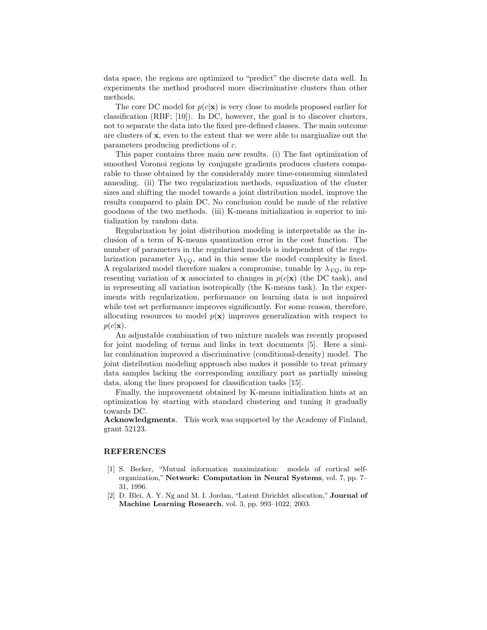data space, the regions are optimized to "predict" the discrete data well. In experiments the method produced more discriminative clusters than other methods.

The core DC model for  $p(c|\mathbf{x})$  is very close to models proposed earlier for classification (RBF; [10]). In DC, however, the goal is to discover clusters, not to separate the data into the fixed pre-defined classes. The main outcome are clusters of x, even to the extent that we were able to marginalize out the parameters producing predictions of c.

This paper contains three main new results. (i) The fast optimization of smoothed Voronoi regions by conjugate gradients produces clusters comparable to those obtained by the considerably more time-consuming simulated annealing. (ii) The two regularization methods, equalization of the cluster sizes and shifting the model towards a joint distribution model, improve the results compared to plain DC. No conclusion could be made of the relative goodness of the two methods. (iii) K-means initialization is superior to initialization by random data.

Regularization by joint distribution modeling is interpretable as the inclusion of a term of K-means quantization error in the cost function. The number of parameters in the regularized models is independent of the regularization parameter  $\lambda_{VQ}$ , and in this sense the model complexity is fixed. A regularized model therefore makes a compromise, tunable by  $\lambda_{VQ}$ , in representing variation of **x** associated to changes in  $p(c|\mathbf{x})$  (the DC task), and in representing all variation isotropically (the K-means task). In the experiments with regularization, performance on learning data is not impaired while test set performance improves significantly. For some reason, therefore, allocating resources to model  $p(x)$  improves generalization with respect to  $p(c|\mathbf{x}).$ 

An adjustable combination of two mixture models was recently proposed for joint modeling of terms and links in text documents [5]. Here a similar combination improved a discriminative (conditional-density) model. The joint distribution modeling approach also makes it possible to treat primary data samples lacking the corresponding auxiliary part as partially missing data, along the lines proposed for classification tasks [15].

Finally, the improvement obtained by K-means initialization hints at an optimization by starting with standard clustering and tuning it gradually towards DC.

Acknowledgments. This work was supported by the Academy of Finland, grant 52123.

## REFERENCES

- [1] S. Becker, "Mutual information maximization: models of cortical selforganization," Network: Computation in Neural Systems, vol. 7, pp. 7– 31, 1996.
- [2] D. Blei, A. Y. Ng and M. I. Jordan, "Latent Dirichlet allocation," Journal of Machine Learning Research, vol. 3, pp. 993–1022, 2003.